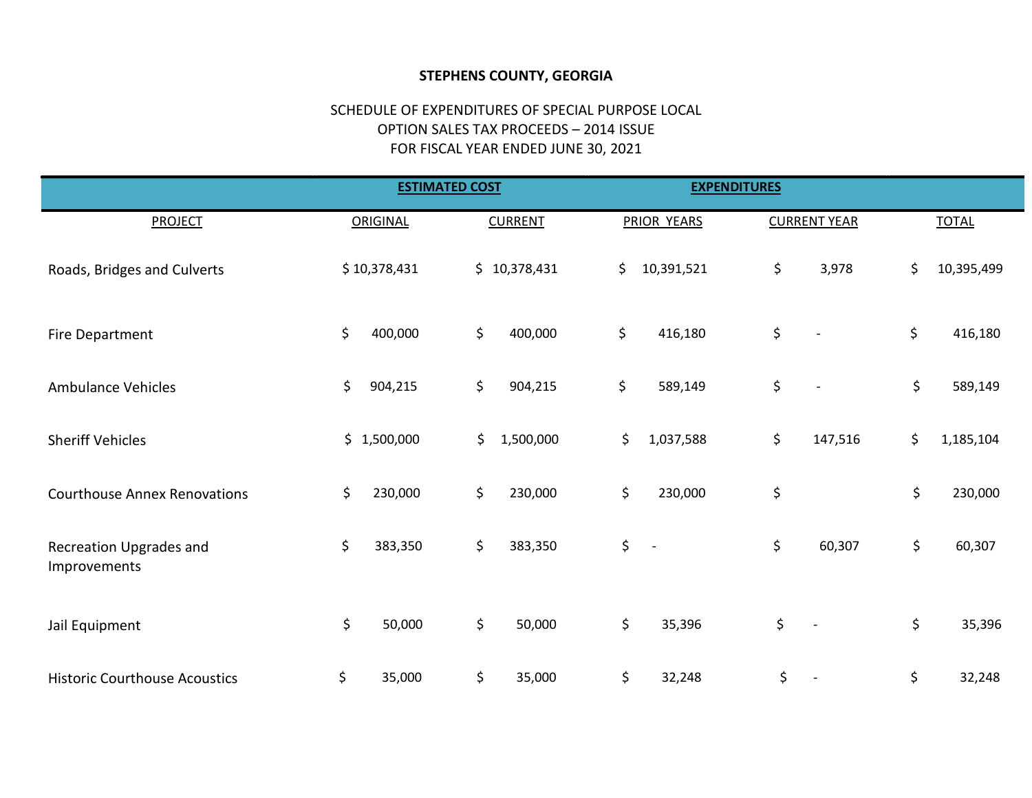## STEPHENS COUNTY, GEORGIA

## SCHEDULE OF EXPENDITURES OF SPECIAL PURPOSE LOCAL OPTION SALES TAX PROCEEDS – 2014 ISSUE FOR FISCAL YEAR ENDED JUNE 30, 2021

|                                         |                 | <b>ESTIMATED COST</b> | <b>EXPENDITURES</b>            |                                |                  |
|-----------------------------------------|-----------------|-----------------------|--------------------------------|--------------------------------|------------------|
| <b>PROJECT</b>                          | <b>ORIGINAL</b> | <b>CURRENT</b>        | PRIOR YEARS                    | <b>CURRENT YEAR</b>            | <b>TOTAL</b>     |
| Roads, Bridges and Culverts             | \$10,378,431    | \$10,378,431          | \$<br>10,391,521               | \$<br>3,978                    | \$<br>10,395,499 |
| Fire Department                         | \$<br>400,000   | \$<br>400,000         | \$<br>416,180                  | \$                             | \$<br>416,180    |
| <b>Ambulance Vehicles</b>               | \$<br>904,215   | \$<br>904,215         | \$<br>589,149                  | \$<br>$\blacksquare$           | \$<br>589,149    |
| <b>Sheriff Vehicles</b>                 | \$1,500,000     | \$<br>1,500,000       | \$<br>1,037,588                | \$<br>147,516                  | \$<br>1,185,104  |
| <b>Courthouse Annex Renovations</b>     | \$<br>230,000   | \$<br>230,000         | \$<br>230,000                  | \$                             | \$<br>230,000    |
| Recreation Upgrades and<br>Improvements | \$<br>383,350   | \$<br>383,350         | \$<br>$\overline{\phantom{a}}$ | \$<br>60,307                   | \$<br>60,307     |
| Jail Equipment                          | \$<br>50,000    | \$<br>50,000          | \$<br>35,396                   | \$<br>$\overline{\phantom{a}}$ | \$<br>35,396     |
| <b>Historic Courthouse Acoustics</b>    | \$<br>35,000    | \$<br>35,000          | \$<br>32,248                   | \$                             | \$<br>32,248     |